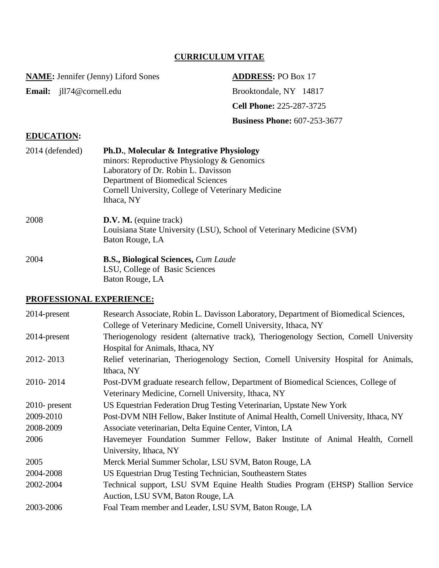# **CURRICULUM VITAE**

**NAME:** Jennifer (Jenny) Liford Sones **ADDRESS:** PO Box 17

Email: jll74@cornell.edu Brooktondale, NY 14817 **Cell Phone:** 225-287-3725 **Business Phone:** 607-253-3677

# **EDUCATION:**

| 2014 (defended) | Ph.D., Molecular & Integrative Physiology<br>minors: Reproductive Physiology & Genomics<br>Laboratory of Dr. Robin L. Davisson<br>Department of Biomedical Sciences<br>Cornell University, College of Veterinary Medicine<br>Ithaca, NY |
|-----------------|-----------------------------------------------------------------------------------------------------------------------------------------------------------------------------------------------------------------------------------------|
| 2008            | D.V. M. (equine track)<br>Louisiana State University (LSU), School of Veterinary Medicine (SVM)<br>Baton Rouge, LA                                                                                                                      |
| 2004            | <b>B.S., Biological Sciences, Cum Laude</b><br>LSU, College of Basic Sciences<br>Baton Rouge, LA                                                                                                                                        |

#### **PROFESSIONAL EXPERIENCE:**

| 2014-present                                                                                  | Research Associate, Robin L. Davisson Laboratory, Department of Biomedical Sciences,    |  |  |
|-----------------------------------------------------------------------------------------------|-----------------------------------------------------------------------------------------|--|--|
|                                                                                               | College of Veterinary Medicine, Cornell University, Ithaca, NY                          |  |  |
| 2014-present                                                                                  | Theriogenology resident (alternative track), Theriogenology Section, Cornell University |  |  |
|                                                                                               | Hospital for Animals, Ithaca, NY                                                        |  |  |
| 2012-2013                                                                                     | Relief veterinarian, Theriogenology Section, Cornell University Hospital for Animals,   |  |  |
|                                                                                               | Ithaca, NY                                                                              |  |  |
| 2010-2014<br>Post-DVM graduate research fellow, Department of Biomedical Sciences, College of |                                                                                         |  |  |
|                                                                                               | Veterinary Medicine, Cornell University, Ithaca, NY                                     |  |  |
| $2010$ - present                                                                              | US Equestrian Federation Drug Testing Veterinarian, Upstate New York                    |  |  |
| 2009-2010                                                                                     | Post-DVM NIH Fellow, Baker Institute of Animal Health, Cornell University, Ithaca, NY   |  |  |
| 2008-2009                                                                                     | Associate veterinarian, Delta Equine Center, Vinton, LA                                 |  |  |
| 2006                                                                                          | Havemeyer Foundation Summer Fellow, Baker Institute of Animal Health, Cornell           |  |  |
|                                                                                               | University, Ithaca, NY                                                                  |  |  |
| 2005                                                                                          | Merck Merial Summer Scholar, LSU SVM, Baton Rouge, LA                                   |  |  |
| 2004-2008                                                                                     | US Equestrian Drug Testing Technician, Southeastern States                              |  |  |
| 2002-2004                                                                                     | Technical support, LSU SVM Equine Health Studies Program (EHSP) Stallion Service        |  |  |
|                                                                                               | Auction, LSU SVM, Baton Rouge, LA                                                       |  |  |
| 2003-2006                                                                                     | Foal Team member and Leader, LSU SVM, Baton Rouge, LA                                   |  |  |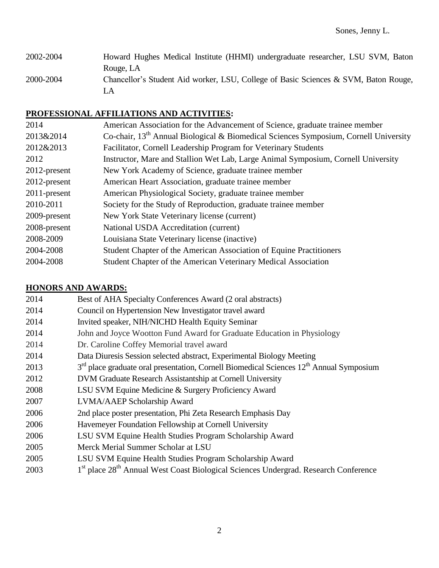# 2002-2004 Howard Hughes Medical Institute (HHMI) undergraduate researcher, LSU SVM, Baton Rouge, LA 2000-2004 Chancellor's Student Aid worker, LSU, College of Basic Sciences & SVM, Baton Rouge, LA

# **PROFESSIONAL AFFILIATIONS AND ACTIVITIES:**

| 2014         | American Association for the Advancement of Science, graduate trainee member                     |  |  |
|--------------|--------------------------------------------------------------------------------------------------|--|--|
| 2013&2014    | Co-chair, 13 <sup>th</sup> Annual Biological & Biomedical Sciences Symposium, Cornell University |  |  |
| 2012&2013    | Facilitator, Cornell Leadership Program for Veterinary Students                                  |  |  |
| 2012         | Instructor, Mare and Stallion Wet Lab, Large Animal Symposium, Cornell University                |  |  |
| 2012-present | New York Academy of Science, graduate trainee member                                             |  |  |
| 2012-present | American Heart Association, graduate trainee member                                              |  |  |
| 2011-present | American Physiological Society, graduate trainee member                                          |  |  |
| 2010-2011    | Society for the Study of Reproduction, graduate trainee member                                   |  |  |
| 2009-present | New York State Veterinary license (current)                                                      |  |  |
| 2008-present | National USDA Accreditation (current)                                                            |  |  |
| 2008-2009    | Louisiana State Veterinary license (inactive)                                                    |  |  |
| 2004-2008    | Student Chapter of the American Association of Equine Practitioners                              |  |  |
| 2004-2008    | Student Chapter of the American Veterinary Medical Association                                   |  |  |
|              |                                                                                                  |  |  |

## **HONORS AND AWARDS:**

| 2014 | Best of AHA Specialty Conferences Award (2 oral abstracts)                                                  |
|------|-------------------------------------------------------------------------------------------------------------|
| 2014 | Council on Hypertension New Investigator travel award                                                       |
| 2014 | Invited speaker, NIH/NICHD Health Equity Seminar                                                            |
| 2014 | John and Joyce Wootton Fund Award for Graduate Education in Physiology                                      |
| 2014 | Dr. Caroline Coffey Memorial travel award                                                                   |
| 2014 | Data Diuresis Session selected abstract, Experimental Biology Meeting                                       |
| 2013 | $3rd$ place graduate oral presentation, Cornell Biomedical Sciences $12th$ Annual Symposium                 |
| 2012 | DVM Graduate Research Assistantship at Cornell University                                                   |
| 2008 | LSU SVM Equine Medicine & Surgery Proficiency Award                                                         |
| 2007 | LVMA/AAEP Scholarship Award                                                                                 |
| 2006 | 2nd place poster presentation, Phi Zeta Research Emphasis Day                                               |
| 2006 | Havemeyer Foundation Fellowship at Cornell University                                                       |
| 2006 | LSU SVM Equine Health Studies Program Scholarship Award                                                     |
| 2005 | Merck Merial Summer Scholar at LSU                                                                          |
| 2005 | LSU SVM Equine Health Studies Program Scholarship Award                                                     |
| 2003 | 1 <sup>st</sup> place 28 <sup>th</sup> Annual West Coast Biological Sciences Undergrad. Research Conference |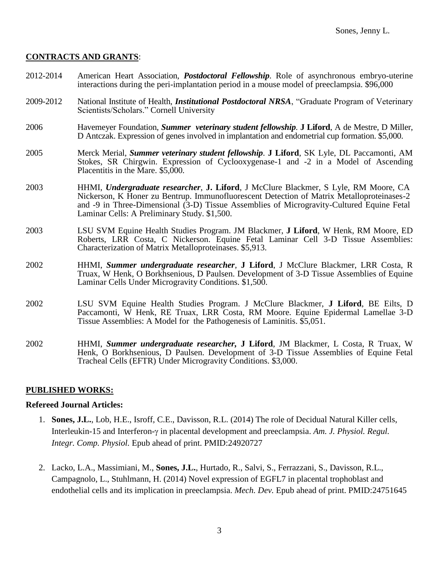#### **CONTRACTS AND GRANTS**:

- 2012-2014 American Heart Association, *Postdoctoral Fellowship*. Role of asynchronous embryo-uterine interactions during the peri-implantation period in a mouse model of preeclampsia. \$96,000
- 2009-2012 National Institute of Health, *Institutional Postdoctoral NRSA*, "Graduate Program of Veterinary Scientists/Scholars." Cornell University
- 2006 Havemeyer Foundation, *Summer veterinary student fellowship*. **J Liford**, A de Mestre, D Miller, D Antczak. Expression of genes involved in implantation and endometrial cup formation. \$5,000.
- 2005 Merck Merial, *Summer veterinary student fellowship*. **J Liford**, SK Lyle, DL Paccamonti, AM Stokes, SR Chirgwin. Expression of Cyclooxygenase-1 and -2 in a Model of Ascending Placentitis in the Mare. \$5,000.
- 2003 HHMI, *Undergraduate researcher*, **J. Liford**, J McClure Blackmer, S Lyle, RM Moore, CA Nickerson, K Honer zu Bentrup. Immunofluorescent Detection of Matrix Metalloproteinases-2 and -9 in Three-Dimensional (3-D) Tissue Assemblies of Microgravity-Cultured Equine Fetal Laminar Cells: A Preliminary Study. \$1,500.
- 2003 LSU SVM Equine Health Studies Program. JM Blackmer, **J Liford**, W Henk, RM Moore, ED Roberts, LRR Costa, C Nickerson. Equine Fetal Laminar Cell 3-D Tissue Assemblies: Characterization of Matrix Metalloproteinases. \$5,913.
- 2002 HHMI, *Summer undergraduate researcher*, **J Liford**, J McClure Blackmer, LRR Costa, R Truax, W Henk, O Borkhsenious, D Paulsen. Development of 3-D Tissue Assemblies of Equine Laminar Cells Under Microgravity Conditions. \$1,500.
- 2002 LSU SVM Equine Health Studies Program. J McClure Blackmer, **J Liford**, BE Eilts, D Paccamonti, W Henk, RE Truax, LRR Costa, RM Moore. Equine Epidermal Lamellae 3-D Tissue Assemblies: A Model for the Pathogenesis of Laminitis. \$5,051.
- 2002 HHMI, *Summer undergraduate researcher,* **J Liford**, JM Blackmer, L Costa, R Truax, W Henk, O Borkhsenious, D Paulsen. Development of 3-D Tissue Assemblies of Equine Fetal Tracheal Cells (EFTR) Under Microgravity Conditions. \$3,000.

#### **PUBLISHED WORKS:**

#### **Refereed Journal Articles:**

- 1. **Sones, J.L.**, Lob, H.E., Isroff, C.E., Davisson, R.L. (2014) The role of Decidual Natural Killer cells, Interleukin-15 and Interferon-γ in placental development and preeclampsia. *Am. J. Physiol. Regul. Integr. Comp. Physiol.* Epub ahead of print. PMID:24920727
- 2. Lacko, L.A., Massimiani, M., **Sones, J.L.**, Hurtado, R., Salvi, S., Ferrazzani, S., Davisson, R.L., Campagnolo, L., Stuhlmann, H. (2014) Novel expression of EGFL7 in placental trophoblast and endothelial cells and its implication in preeclampsia. *Mech. Dev.* Epub ahead of print. PMID:24751645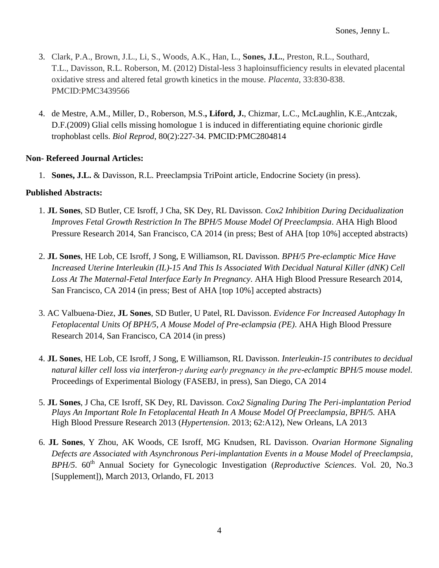- 3. Clark, P.A., Brown, J.L., Li, S., Woods, A.K., Han, L., **Sones, J.L.**, Preston, R.L., Southard, T.L., Davisson, R.L. Roberson, M. (2012) Distal-less 3 haploinsufficiency results in elevated placental oxidative stress and altered fetal growth kinetics in the mouse. *Placenta*, 33:830-838. PMCID:PMC3439566
- 4. de Mestre, A.M., Miller, D., Roberson, M.S.**, Liford, J.**, Chizmar, L.C., McLaughlin, K.E.,Antczak, D.F.(2009) Glial cells missing homologue 1 is induced in differentiating equine chorionic girdle trophoblast cells. *Biol Reprod*, 80(2):227-34. PMCID:PMC2804814

## **Non- Refereed Journal Articles:**

1. **Sones, J.L.** & Davisson, R.L. Preeclampsia TriPoint article, Endocrine Society (in press).

#### **Published Abstracts:**

- 1. **JL Sones**, SD Butler, CE Isroff, J Cha, SK Dey, RL Davisson. *Cox2 Inhibition During Decidualization Improves Fetal Growth Restriction In The BPH/5 Mouse Model Of Preeclampsia*. AHA High Blood Pressure Research 2014, San Francisco, CA 2014 (in press; Best of AHA [top 10%] accepted abstracts)
- 2. **JL Sones**, HE Lob, CE Isroff, J Song, E Williamson, RL Davisson. *BPH/5 Pre-eclamptic Mice Have Increased Uterine Interleukin (IL)-15 And This Is Associated With Decidual Natural Killer (dNK) Cell Loss At The Maternal-Fetal Interface Early In Pregnancy*. AHA High Blood Pressure Research 2014, San Francisco, CA 2014 (in press; Best of AHA [top 10%] accepted abstracts)
- 3. AC Valbuena-Diez, **JL Sones**, SD Butler, U Patel, RL Davisson. *Evidence For Increased Autophagy In Fetoplacental Units Of BPH/5, A Mouse Model of Pre-eclampsia (PE)*. AHA High Blood Pressure Research 2014, San Francisco, CA 2014 (in press)
- 4. **JL Sones**, HE Lob, CE Isroff, J Song, E Williamson, RL Davisson. *Interleukin-15 contributes to decidual natural killer cell loss via interferon-γ during early pregnancy in the pre-eclamptic BPH/5 mouse model.* Proceedings of Experimental Biology (FASEBJ, in press), San Diego, CA 2014
- 5. **JL Sones**, J Cha, CE Isroff, SK Dey, RL Davisson. *Cox2 Signaling During The Peri-implantation Period Plays An Important Role In Fetoplacental Heath In A Mouse Model Of Preeclampsia, BPH/5.* AHA High Blood Pressure Research 2013 (*Hypertension*. 2013; 62:A12), New Orleans, LA 2013
- 6. **JL Sones**, Y Zhou, AK Woods, CE Isroff, MG Knudsen, RL Davisson. *Ovarian Hormone Signaling Defects are Associated with Asynchronous Peri-implantation Events in a Mouse Model of Preeclampsia, BPH/5*. 60<sup>th</sup> Annual Society for Gynecologic Investigation (*Reproductive Sciences*. Vol. 20, No.3 [Supplement]), March 2013, Orlando, FL 2013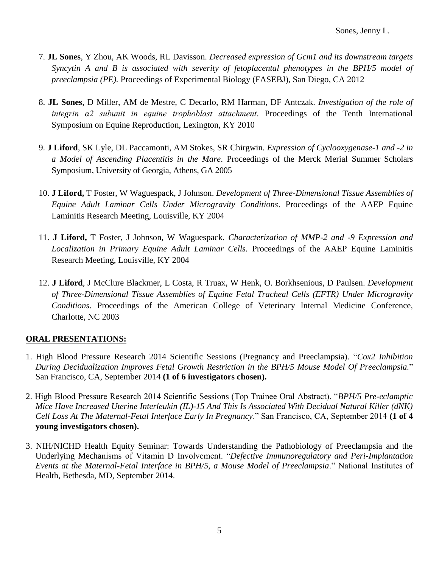- 7. **JL Sones**, Y Zhou, AK Woods, RL Davisson. *Decreased expression of Gcm1 and its downstream targets Syncytin A and B is associated with severity of fetoplacental phenotypes in the BPH/5 model of preeclampsia (PE).* Proceedings of Experimental Biology (FASEBJ), San Diego, CA 2012
- 8. **JL Sones**, D Miller, AM de Mestre, C Decarlo, RM Harman, DF Antczak. *Investigation of the role of integrin α2 subunit in equine trophoblast attachment*. Proceedings of the Tenth International Symposium on Equine Reproduction, Lexington, KY 2010
- 9. **J Liford**, SK Lyle, DL Paccamonti, AM Stokes, SR Chirgwin. *Expression of Cyclooxygenase-1 and -2 in a Model of Ascending Placentitis in the Mare*. Proceedings of the Merck Merial Summer Scholars Symposium, University of Georgia, Athens, GA 2005
- 10. **J Liford,** T Foster, W Waguespack, J Johnson. *Development of Three-Dimensional Tissue Assemblies of Equine Adult Laminar Cells Under Microgravity Conditions*. Proceedings of the AAEP Equine Laminitis Research Meeting, Louisville, KY 2004
- 11. **J Liford,** T Foster, J Johnson, W Waguespack. *Characterization of MMP-2 and -9 Expression and Localization in Primary Equine Adult Laminar Cells.* Proceedings of the AAEP Equine Laminitis Research Meeting, Louisville, KY 2004
- 12. **J Liford**, J McClure Blackmer, L Costa, R Truax, W Henk, O. Borkhsenious, D Paulsen. *Development of Three-Dimensional Tissue Assemblies of Equine Fetal Tracheal Cells (EFTR) Under Microgravity Conditions*. Proceedings of the American College of Veterinary Internal Medicine Conference, Charlotte, NC 2003

# **ORAL PRESENTATIONS:**

- 1. High Blood Pressure Research 2014 Scientific Sessions (Pregnancy and Preeclampsia). "*Cox2 Inhibition During Decidualization Improves Fetal Growth Restriction in the BPH/5 Mouse Model Of Preeclampsia.*" San Francisco, CA, September 2014 **(1 of 6 investigators chosen).**
- 2. High Blood Pressure Research 2014 Scientific Sessions (Top Trainee Oral Abstract). "*BPH/5 Pre-eclamptic Mice Have Increased Uterine Interleukin (IL)-15 And This Is Associated With Decidual Natural Killer (dNK) Cell Loss At The Maternal-Fetal Interface Early In Pregnancy*." San Francisco, CA, September 2014 **(1 of 4 young investigators chosen).**
- 3. NIH/NICHD Health Equity Seminar: Towards Understanding the Pathobiology of Preeclampsia and the Underlying Mechanisms of Vitamin D Involvement. "*Defective Immunoregulatory and Peri-Implantation Events at the Maternal-Fetal Interface in BPH/5, a Mouse Model of Preeclampsia*." National Institutes of Health, Bethesda, MD, September 2014.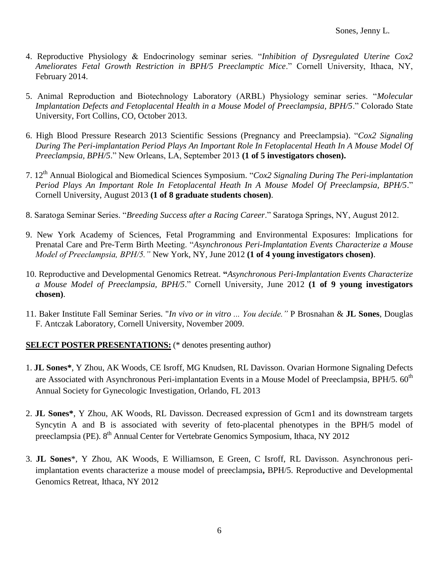- 4. Reproductive Physiology & Endocrinology seminar series. "*Inhibition of Dysregulated Uterine Cox2 Ameliorates Fetal Growth Restriction in BPH/5 Preeclamptic Mice*." Cornell University, Ithaca, NY, February 2014.
- 5. Animal Reproduction and Biotechnology Laboratory (ARBL) Physiology seminar series. "*Molecular Implantation Defects and Fetoplacental Health in a Mouse Model of Preeclampsia, BPH/5*." Colorado State University, Fort Collins, CO, October 2013.
- 6. High Blood Pressure Research 2013 Scientific Sessions (Pregnancy and Preeclampsia). "*Cox2 Signaling During The Peri-implantation Period Plays An Important Role In Fetoplacental Heath In A Mouse Model Of Preeclampsia, BPH/5*." New Orleans, LA, September 2013 **(1 of 5 investigators chosen).**
- 7. 12th Annual Biological and Biomedical Sciences Symposium. "*Cox2 Signaling During The Peri-implantation Period Plays An Important Role In Fetoplacental Heath In A Mouse Model Of Preeclampsia, BPH/5*." Cornell University, August 2013 **(1 of 8 graduate students chosen)**.
- 8. Saratoga Seminar Series. "*Breeding Success after a Racing Career*." Saratoga Springs, NY, August 2012.
- 9. New York Academy of Sciences, Fetal Programming and Environmental Exposures: Implications for Prenatal Care and Pre-Term Birth Meeting. "*Asynchronous Peri-Implantation Events Characterize a Mouse Model of Preeclampsia, BPH/5."* New York, NY, June 2012 **(1 of 4 young investigators chosen)**.
- 10. Reproductive and Developmental Genomics Retreat. **"***Asynchronous Peri-Implantation Events Characterize a Mouse Model of Preeclampsia, BPH/5*." Cornell University, June 2012 **(1 of 9 young investigators chosen)**.
- 11. Baker Institute Fall Seminar Series. "*In vivo or in vitro ... You decide."* P Brosnahan & **JL Sones**, Douglas F. Antczak Laboratory, Cornell University, November 2009.

## **SELECT POSTER PRESENTATIONS:** (\* denotes presenting author)

- 1. **JL Sones\***, Y Zhou, AK Woods, CE Isroff, MG Knudsen, RL Davisson. Ovarian Hormone Signaling Defects are Associated with Asynchronous Peri-implantation Events in a Mouse Model of Preeclampsia, BPH/5. 60<sup>th</sup> Annual Society for Gynecologic Investigation, Orlando, FL 2013
- 2. **JL Sones\***, Y Zhou, AK Woods, RL Davisson. Decreased expression of Gcm1 and its downstream targets Syncytin A and B is associated with severity of feto-placental phenotypes in the BPH/5 model of preeclampsia (PE). 8<sup>th</sup> Annual Center for Vertebrate Genomics Symposium, Ithaca, NY 2012
- 3. **JL Sones**\*, Y Zhou, AK Woods, E Williamson, E Green, C Isroff, RL Davisson. Asynchronous periimplantation events characterize a mouse model of preeclampsia**,** BPH/5. Reproductive and Developmental Genomics Retreat, Ithaca, NY 2012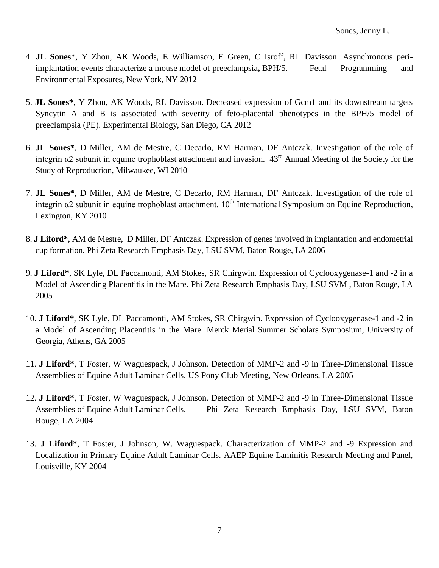- 4. **JL Sones**\*, Y Zhou, AK Woods, E Williamson, E Green, C Isroff, RL Davisson. Asynchronous periimplantation events characterize a mouse model of preeclampsia**,** BPH/5. Fetal Programming and Environmental Exposures, New York, NY 2012
- 5. **JL Sones\***, Y Zhou, AK Woods, RL Davisson. Decreased expression of Gcm1 and its downstream targets Syncytin A and B is associated with severity of feto-placental phenotypes in the BPH/5 model of preeclampsia (PE). Experimental Biology, San Diego, CA 2012
- 6. **JL Sones\***, D Miller, AM de Mestre, C Decarlo, RM Harman, DF Antczak. Investigation of the role of integrin  $\alpha$ 2 subunit in equine trophoblast attachment and invasion.  $43<sup>rd</sup>$  Annual Meeting of the Society for the Study of Reproduction, Milwaukee, WI 2010
- 7. **JL Sones\***, D Miller, AM de Mestre, C Decarlo, RM Harman, DF Antczak. Investigation of the role of integrin  $\alpha$ 2 subunit in equine trophoblast attachment.  $10^{th}$  International Symposium on Equine Reproduction, Lexington, KY 2010
- 8. **J Liford\***, AM de Mestre, D Miller, DF Antczak. Expression of genes involved in implantation and endometrial cup formation. Phi Zeta Research Emphasis Day, LSU SVM, Baton Rouge, LA 2006
- 9. **J Liford\***, SK Lyle, DL Paccamonti, AM Stokes, SR Chirgwin. Expression of Cyclooxygenase-1 and -2 in a Model of Ascending Placentitis in the Mare. Phi Zeta Research Emphasis Day, LSU SVM , Baton Rouge, LA 2005
- 10. **J Liford\***, SK Lyle, DL Paccamonti, AM Stokes, SR Chirgwin. Expression of Cyclooxygenase-1 and -2 in a Model of Ascending Placentitis in the Mare. Merck Merial Summer Scholars Symposium, University of Georgia, Athens, GA 2005
- 11. **J Liford\***, T Foster, W Waguespack, J Johnson. Detection of MMP-2 and -9 in Three-Dimensional Tissue Assemblies of Equine Adult Laminar Cells. US Pony Club Meeting, New Orleans, LA 2005
- 12. **J Liford\***, T Foster, W Waguespack, J Johnson. Detection of MMP-2 and -9 in Three-Dimensional Tissue Assemblies of Equine Adult Laminar Cells. Phi Zeta Research Emphasis Day, LSU SVM, Baton Rouge, LA 2004
- 13. **J Liford\***, T Foster, J Johnson, W. Waguespack. Characterization of MMP-2 and -9 Expression and Localization in Primary Equine Adult Laminar Cells. AAEP Equine Laminitis Research Meeting and Panel, Louisville, KY 2004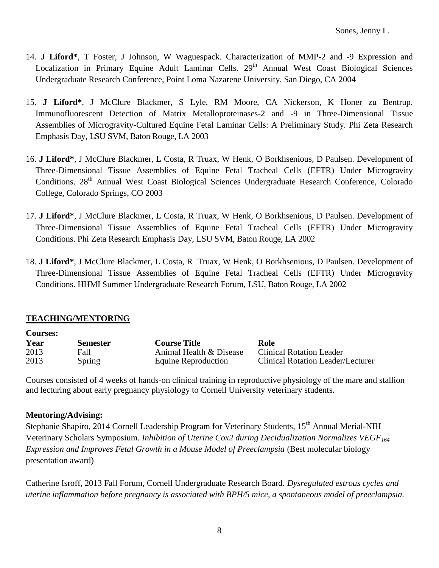- 14. **J Liford\***, T Foster, J Johnson, W Waguespack. Characterization of MMP-2 and -9 Expression and Localization in Primary Equine Adult Laminar Cells. 29<sup>th</sup> Annual West Coast Biological Sciences Undergraduate Research Conference, Point Loma Nazarene University, San Diego, CA 2004
- 15. **J Liford\***, J McClure Blackmer, S Lyle, RM Moore, CA Nickerson, K Honer zu Bentrup. Immunofluorescent Detection of Matrix Metalloproteinases-2 and -9 in Three-Dimensional Tissue Assemblies of Microgravity-Cultured Equine Fetal Laminar Cells: A Preliminary Study. Phi Zeta Research Emphasis Day, LSU SVM, Baton Rouge, LA 2003
- 16. **J Liford\***, J McClure Blackmer, L Costa, R Truax, W Henk, O Borkhsenious, D Paulsen. Development of Three-Dimensional Tissue Assemblies of Equine Fetal Tracheal Cells (EFTR) Under Microgravity Conditions. 28<sup>th</sup> Annual West Coast Biological Sciences Undergraduate Research Conference, Colorado College, Colorado Springs, CO 2003
- 17. **J Liford\***, J McClure Blackmer, L Costa, R Truax, W Henk, O Borkhsenious, D Paulsen. Development of Three-Dimensional Tissue Assemblies of Equine Fetal Tracheal Cells (EFTR) Under Microgravity Conditions. Phi Zeta Research Emphasis Day, LSU SVM, Baton Rouge, LA 2002
- 18. **J Liford\***, J McClure Blackmer, L Costa, R Truax, W Henk, O Borkhsenious, D Paulsen. Development of Three-Dimensional Tissue Assemblies of Equine Fetal Tracheal Cells (EFTR) Under Microgravity Conditions. HHMI Summer Undergraduate Research Forum, LSU, Baton Rouge, LA 2002

## **TEACHING/MENTORING**

**Courses:**

| Courses: |                 |                         |                                   |
|----------|-----------------|-------------------------|-----------------------------------|
| Year     | <b>Semester</b> | <b>Course Title</b>     | Role                              |
| 2013     | Fall            | Animal Health & Disease | Clinical Rotation Leader          |
| 2013     | Spring          | Equine Reproduction     | Clinical Rotation Leader/Lecturer |

Courses consisted of 4 weeks of hands-on clinical training in reproductive physiology of the mare and stallion and lecturing about early pregnancy physiology to Cornell University veterinary students.

## **Mentoring/Advising:**

Stephanie Shapiro, 2014 Cornell Leadership Program for Veterinary Students, 15<sup>th</sup> Annual Merial-NIH Veterinary Scholars Symposium. *Inhibition of Uterine Cox2 during Decidualization Normalizes VEGF<sup>164</sup> Expression and Improves Fetal Growth in a Mouse Model of Preeclampsia* (Best molecular biology presentation award)

Catherine Isroff, 2013 Fall Forum, Cornell Undergraduate Research Board. *Dysregulated estrous cycles and uterine inflammation before pregnancy is associated with BPH/5 mice, a spontaneous model of preeclampsia.*